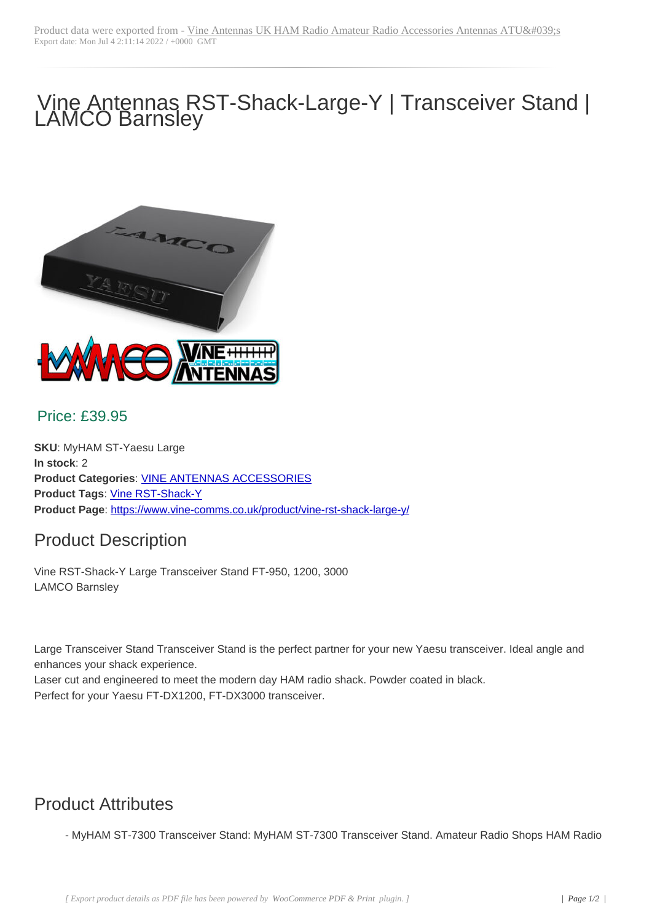# Vine Antennas RST-Shack-Large-Y | Transceiver Stand | LAMCO Barnsley



#### Price: £39.95

**SKU**: MyHAM ST-Yaesu Large **In stock**: 2 **Product Categories**: VINE ANTENNAS ACCESSORIES **Product Tags**: Vine RST-Shack-Y **Product Page**: https://www.vine-comms.co.uk/product/vine-rst-shack-large-y/

### Product [Descr](https://www.vine-comms.co.uk/product-tag/vine-rst-shack-y/)[iption](https://www.vine-comms.co.uk/product-category/vine-antennas-accessories/)

Vine RST-Shac[k-Y Large Transceiver Stand FT-950, 1200, 3000](https://www.vine-comms.co.uk/product/vine-rst-shack-large-y/) LAMCO Barnsley

Large Transceiver Stand Transceiver Stand is the perfect partner for your new Yaesu transceiver. Ideal angle and enhances your shack experience.

Laser cut and engineered to meet the modern day HAM radio shack. Powder coated in black. Perfect for your Yaesu FT-DX1200, FT-DX3000 transceiver.

## Product Attributes

- MyHAM ST-7300 Transceiver Stand: MyHAM ST-7300 Transceiver Stand. Amateur Radio Shops HAM Radio